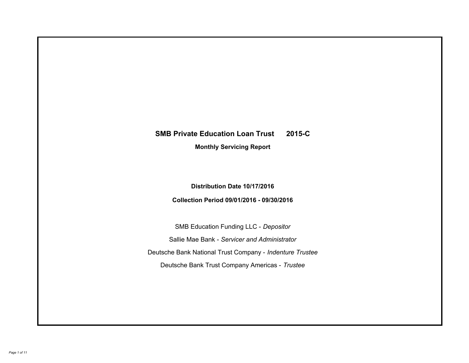# **SMB Private Education Loan Trust 2015-C Monthly Servicing Report**

## **Distribution Date 10/17/2016**

## **Collection Period 09/01/2016 - 09/30/2016**

SMB Education Funding LLC - *Depositor* Sallie Mae Bank - *Servicer and Administrator* Deutsche Bank National Trust Company - *Indenture Trustee* Deutsche Bank Trust Company Americas - *Trustee*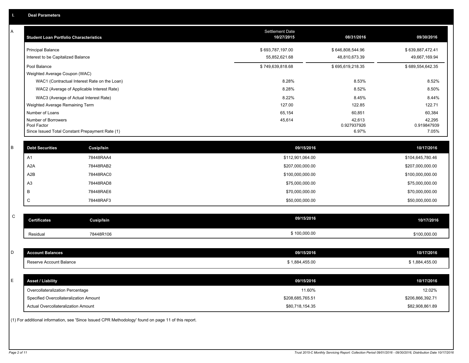| A           | <b>Student Loan Portfolio Characteristics</b> |                                                                                                     | Settlement Date<br>10/27/2015 | 08/31/2016       | 09/30/2016       |
|-------------|-----------------------------------------------|-----------------------------------------------------------------------------------------------------|-------------------------------|------------------|------------------|
|             | <b>Principal Balance</b>                      |                                                                                                     | \$693,787,197.00              | \$646,808,544.96 | \$639,887,472.41 |
|             | Interest to be Capitalized Balance            |                                                                                                     | 55,852,621.68                 | 48,810,673.39    | 49,667,169.94    |
|             | Pool Balance                                  |                                                                                                     | \$749,639,818.68              | \$695,619,218.35 | \$689,554,642.35 |
|             | Weighted Average Coupon (WAC)                 |                                                                                                     |                               |                  |                  |
|             |                                               | WAC1 (Contractual Interest Rate on the Loan)                                                        | 8.28%                         | 8.53%            | 8.52%            |
|             |                                               | WAC2 (Average of Applicable Interest Rate)                                                          | 8.28%                         | 8.52%            | 8.50%            |
|             |                                               | WAC3 (Average of Actual Interest Rate)                                                              | 8.22%                         | 8.45%            | 8.44%            |
|             | Weighted Average Remaining Term               |                                                                                                     | 127.00                        | 122.85           | 122.71           |
|             | Number of Loans<br>Number of Borrowers        |                                                                                                     | 65,154<br>45,614              | 60,851<br>42,613 | 60,384<br>42,295 |
|             | Pool Factor                                   |                                                                                                     |                               | 0.927937926      | 0.919847939      |
|             |                                               | Since Issued Total Constant Prepayment Rate (1)                                                     |                               | 6.97%            | 7.05%            |
|             |                                               |                                                                                                     |                               |                  |                  |
| $\mathsf B$ | <b>Debt Securities</b>                        | Cusip/Isin                                                                                          | 09/15/2016                    |                  | 10/17/2016       |
|             | A <sub>1</sub>                                | 78448RAA4                                                                                           | \$112,901,064.00              |                  | \$104,645,780.46 |
|             | A <sub>2</sub> A                              | 78448RAB2                                                                                           | \$207,000,000.00              |                  | \$207,000,000.00 |
|             | A2B                                           | 78448RAC0                                                                                           | \$100,000,000.00              |                  | \$100,000,000.00 |
|             | A <sub>3</sub>                                | 78448RAD8                                                                                           | \$75,000,000.00               |                  | \$75,000,000.00  |
|             | B                                             | 78448RAE6                                                                                           | \$70,000,000.00               |                  | \$70,000,000.00  |
|             | C                                             | 78448RAF3                                                                                           | \$50,000,000.00               |                  | \$50,000,000.00  |
|             |                                               |                                                                                                     |                               |                  |                  |
| $\mathsf C$ | <b>Certificates</b>                           | Cusip/Isin                                                                                          | 09/15/2016                    |                  | 10/17/2016       |
|             | Residual                                      | 78448R106                                                                                           | \$100,000.00                  |                  | \$100,000.00     |
|             |                                               |                                                                                                     |                               |                  |                  |
| D           | <b>Account Balances</b>                       |                                                                                                     | 09/15/2016                    |                  | 10/17/2016       |
|             | Reserve Account Balance                       |                                                                                                     | \$1,884,455.00                |                  | \$1,884,455.00   |
|             |                                               |                                                                                                     |                               |                  |                  |
| E           | <b>Asset / Liability</b>                      |                                                                                                     | 09/15/2016                    |                  | 10/17/2016       |
|             | Overcollateralization Percentage              |                                                                                                     | 11.60%                        |                  | 12.02%           |
|             | Specified Overcollateralization Amount        |                                                                                                     | \$208,685,765.51              |                  | \$206,866,392.71 |
|             | Actual Overcollateralization Amount           |                                                                                                     | \$80,718,154.35               |                  | \$82,908,861.89  |
|             |                                               | (1) For additional information, see 'Since Issued CPR Methodology' found on page 11 of this report. |                               |                  |                  |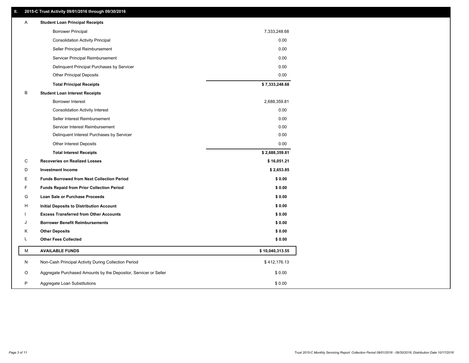### **II. 2015-C Trust Activity 09/01/2016 through 09/30/2016**

| Α | <b>Student Loan Principal Receipts</b>                           |                 |  |
|---|------------------------------------------------------------------|-----------------|--|
|   | <b>Borrower Principal</b>                                        | 7,333,248.68    |  |
|   | <b>Consolidation Activity Principal</b>                          | 0.00            |  |
|   | Seller Principal Reimbursement                                   | 0.00            |  |
|   | Servicer Principal Reimbursement                                 | 0.00            |  |
|   | Delinquent Principal Purchases by Servicer                       | 0.00            |  |
|   | <b>Other Principal Deposits</b>                                  | 0.00            |  |
|   | <b>Total Principal Receipts</b>                                  | \$7,333,248.68  |  |
| в | <b>Student Loan Interest Receipts</b>                            |                 |  |
|   | <b>Borrower Interest</b>                                         | 2,688,359.81    |  |
|   | <b>Consolidation Activity Interest</b>                           | 0.00            |  |
|   | Seller Interest Reimbursement                                    | 0.00            |  |
|   | Servicer Interest Reimbursement                                  | 0.00            |  |
|   | Delinquent Interest Purchases by Servicer                        | 0.00            |  |
|   | Other Interest Deposits                                          | 0.00            |  |
|   | <b>Total Interest Receipts</b>                                   | \$2,688,359.81  |  |
| C | <b>Recoveries on Realized Losses</b>                             | \$16,051.21     |  |
| D | <b>Investment Income</b>                                         | \$2,653.85      |  |
| Ε | <b>Funds Borrowed from Next Collection Period</b>                | \$0.00          |  |
| F | <b>Funds Repaid from Prior Collection Period</b>                 | \$0.00          |  |
| G | Loan Sale or Purchase Proceeds                                   | \$0.00          |  |
| н | Initial Deposits to Distribution Account                         | \$0.00          |  |
|   | <b>Excess Transferred from Other Accounts</b>                    | \$0.00          |  |
| J | <b>Borrower Benefit Reimbursements</b>                           | \$0.00          |  |
| Κ | <b>Other Deposits</b>                                            | \$0.00          |  |
| L | <b>Other Fees Collected</b>                                      | \$0.00          |  |
| М | <b>AVAILABLE FUNDS</b>                                           | \$10,040,313.55 |  |
| N | Non-Cash Principal Activity During Collection Period             | \$412,176.13    |  |
| O | Aggregate Purchased Amounts by the Depositor, Servicer or Seller | \$0.00          |  |
| P | Aggregate Loan Substitutions                                     | \$0.00          |  |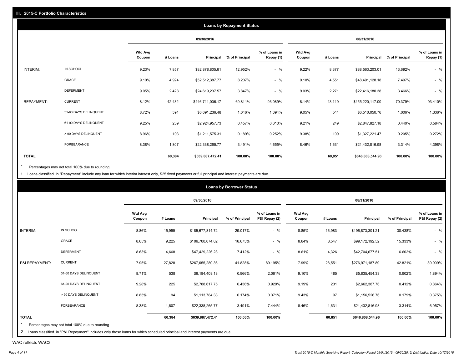|                   |                       |                          |         |                  | <b>Loans by Repayment Status</b> |                            |                          |         |                  |                |                            |
|-------------------|-----------------------|--------------------------|---------|------------------|----------------------------------|----------------------------|--------------------------|---------|------------------|----------------|----------------------------|
|                   |                       |                          |         | 09/30/2016       |                                  |                            |                          |         | 08/31/2016       |                |                            |
|                   |                       | <b>Wtd Avg</b><br>Coupon | # Loans | Principal        | % of Principal                   | % of Loans in<br>Repay (1) | <b>Wtd Avg</b><br>Coupon | # Loans | Principal        | % of Principal | % of Loans in<br>Repay (1) |
| INTERIM:          | IN SCHOOL             | 9.23%                    | 7,857   | \$82,878,805.61  | 12.952%                          | $-$ %                      | 9.22%                    | 8,377   | \$88,563,203.01  | 13.692%        | $-$ %                      |
|                   | GRACE                 | 9.10%                    | 4,924   | \$52,512,387.77  | 8.207%                           | $-$ %                      | 9.10%                    | 4,551   | \$48,491,128.18  | 7.497%         | $-$ %                      |
|                   | <b>DEFERMENT</b>      | 9.05%                    | 2,428   | \$24,619,237.57  | 3.847%                           | $-$ %                      | 9.03%                    | 2,271   | \$22,416,180.38  | 3.466%         | $-$ %                      |
| <b>REPAYMENT:</b> | <b>CURRENT</b>        | 8.12%                    | 42,432  | \$446,711,006.17 | 69.811%                          | 93.089%                    | 8.14%                    | 43,119  | \$455,220,117.00 | 70.379%        | 93.410%                    |
|                   | 31-60 DAYS DELINQUENT | 8.72%                    | 594     | \$6,691,236.48   | 1.046%                           | 1.394%                     | 9.05%                    | 544     | \$6,510,050.76   | 1.006%         | 1.336%                     |
|                   | 61-90 DAYS DELINQUENT | 9.25%                    | 239     | \$2,924,957.73   | 0.457%                           | 0.610%                     | 9.21%                    | 249     | \$2,847,827.18   | 0.440%         | 0.584%                     |
|                   | > 90 DAYS DELINQUENT  | 8.96%                    | 103     | \$1,211,575.31   | 0.189%                           | 0.252%                     | 9.38%                    | 109     | \$1,327,221.47   | 0.205%         | 0.272%                     |
|                   | <b>FORBEARANCE</b>    | 8.38%                    | 1,807   | \$22,338,265.77  | 3.491%                           | 4.655%                     | 8.46%                    | 1,631   | \$21,432,816.98  | 3.314%         | 4.398%                     |
| <b>TOTAL</b>      |                       |                          | 60,384  | \$639,887,472.41 | 100.00%                          | 100.00%                    |                          | 60,851  | \$646,808,544.96 | 100.00%        | 100.00%                    |

Percentages may not total 100% due to rounding  $^\star$ 

1 Loans classified in "Repayment" include any loan for which interim interest only, \$25 fixed payments or full principal and interest payments are due.

|                |                                                                                                                              |                          |         |                  | <b>Loans by Borrower Status</b> |                                |                          |         |                  |                |                                |
|----------------|------------------------------------------------------------------------------------------------------------------------------|--------------------------|---------|------------------|---------------------------------|--------------------------------|--------------------------|---------|------------------|----------------|--------------------------------|
|                |                                                                                                                              |                          |         | 09/30/2016       |                                 |                                |                          |         | 08/31/2016       |                |                                |
|                |                                                                                                                              | <b>Wtd Avg</b><br>Coupon | # Loans | Principal        | % of Principal                  | % of Loans in<br>P&I Repay (2) | <b>Wtd Avg</b><br>Coupon | # Loans | Principal        | % of Principal | % of Loans in<br>P&I Repay (2) |
| INTERIM:       | IN SCHOOL                                                                                                                    | 8.86%                    | 15,999  | \$185,677,814.72 | 29.017%                         | $-$ %                          | 8.85%                    | 16,983  | \$196,873,301.21 | 30.438%        | $-$ %                          |
|                | GRACE                                                                                                                        | 8.65%                    | 9,225   | \$106,700,074.02 | 16.675%                         | $-$ %                          | 8.64%                    | 8,547   | \$99,172,192.52  | 15.333%        | $-$ %                          |
|                | <b>DEFERMENT</b>                                                                                                             | 8.63%                    | 4,668   | \$47,429,226.28  | 7.412%                          | $-$ %                          | 8.61%                    | 4,326   | \$42,704,677.51  | 6.602%         | $-$ %                          |
| P&I REPAYMENT: | <b>CURRENT</b>                                                                                                               | 7.95%                    | 27,828  | \$267,655,280.36 | 41.828%                         | 89.195%                        | 7.99%                    | 28,551  | \$276,971,187.89 | 42.821%        | 89.909%                        |
|                | 31-60 DAYS DELINQUENT                                                                                                        | 8.71%                    | 538     | \$6,184,409.13   | 0.966%                          | 2.061%                         | 9.10%                    | 485     | \$5,835,454.33   | 0.902%         | 1.894%                         |
|                | 61-90 DAYS DELINQUENT                                                                                                        | 9.28%                    | 225     | \$2,788,617.75   | 0.436%                          | 0.929%                         | 9.19%                    | 231     | \$2,662,387.76   | 0.412%         | 0.864%                         |
|                | > 90 DAYS DELINQUENT                                                                                                         | 8.85%                    | 94      | \$1,113,784.38   | 0.174%                          | 0.371%                         | 9.43%                    | 97      | \$1,156,526.76   | 0.179%         | 0.375%                         |
|                | FORBEARANCE                                                                                                                  | 8.38%                    | 1,807   | \$22,338,265.77  | 3.491%                          | 7.444%                         | 8.46%                    | 1,631   | \$21,432,816.98  | 3.314%         | 6.957%                         |
| <b>TOTAL</b>   |                                                                                                                              |                          | 60,384  | \$639,887,472.41 | 100.00%                         | 100.00%                        |                          | 60,851  | \$646,808,544.96 | 100.00%        | 100.00%                        |
|                | Percentages may not total 100% due to rounding                                                                               |                          |         |                  |                                 |                                |                          |         |                  |                |                                |
|                | 2 Loans classified in "P&I Repayment" includes only those loans for which scheduled principal and interest payments are due. |                          |         |                  |                                 |                                |                          |         |                  |                |                                |

WAC reflects WAC3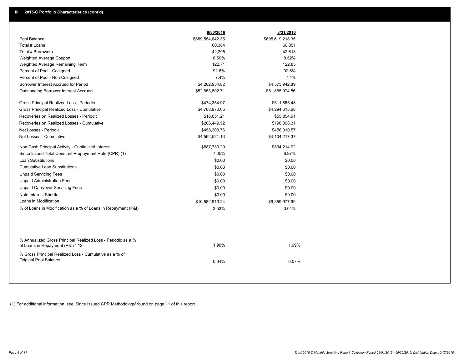|                                                                                                  | 9/30/2016        | 8/31/2016        |  |
|--------------------------------------------------------------------------------------------------|------------------|------------------|--|
| Pool Balance                                                                                     | \$689,554,642.35 | \$695,619,218.35 |  |
| Total # Loans                                                                                    | 60,384           | 60,851           |  |
| Total # Borrowers                                                                                | 42,295           | 42,613           |  |
| Weighted Average Coupon                                                                          | 8.50%            | 8.52%            |  |
| Weighted Average Remaining Term                                                                  | 122.71           | 122.85           |  |
| Percent of Pool - Cosigned                                                                       | 92.6%            | 92.6%            |  |
| Percent of Pool - Non Cosigned                                                                   | 7.4%             | 7.4%             |  |
| Borrower Interest Accrued for Period                                                             | \$4,262,954.82   | \$4,573,942.89   |  |
| Outstanding Borrower Interest Accrued                                                            | \$52,653,802.71  | \$51,865,974.56  |  |
| Gross Principal Realized Loss - Periodic                                                         | \$474,354.97     | \$511,865.48     |  |
| Gross Principal Realized Loss - Cumulative                                                       | \$4,768,970.65   | \$4,294,615.68   |  |
| Recoveries on Realized Losses - Periodic                                                         | \$16,051.21      | \$55,854.91      |  |
| Recoveries on Realized Losses - Cumulative                                                       | \$206,449.52     | \$190,398.31     |  |
| Net Losses - Periodic                                                                            | \$458,303.76     | \$456,010.57     |  |
| Net Losses - Cumulative                                                                          | \$4,562,521.13   | \$4,104,217.37   |  |
| Non-Cash Principal Activity - Capitalized Interest                                               | \$887,733.29     | \$894,214.92     |  |
| Since Issued Total Constant Prepayment Rate (CPR) (1)                                            | 7.05%            | 6.97%            |  |
| Loan Substitutions                                                                               | \$0.00           | \$0.00           |  |
| <b>Cumulative Loan Substitutions</b>                                                             | \$0.00           | \$0.00           |  |
| <b>Unpaid Servicing Fees</b>                                                                     | \$0.00           | \$0.00           |  |
| <b>Unpaid Administration Fees</b>                                                                | \$0.00           | \$0.00           |  |
| <b>Unpaid Carryover Servicing Fees</b>                                                           | \$0.00           | \$0.00           |  |
| Note Interest Shortfall                                                                          | \$0.00           | \$0.00           |  |
| Loans in Modification                                                                            | \$10,582,910.24  | \$9,359,977.99   |  |
| % of Loans in Modification as a % of Loans in Repayment (P&I)                                    | 3.53%            | 3.04%            |  |
|                                                                                                  |                  |                  |  |
| % Annualized Gross Principal Realized Loss - Periodic as a %<br>of Loans in Repayment (P&I) * 12 | 1.90%            | 1.99%            |  |
| % Gross Principal Realized Loss - Cumulative as a % of<br>Original Pool Balance                  | 0.64%            | 0.57%            |  |
|                                                                                                  |                  |                  |  |

(1) For additional information, see 'Since Issued CPR Methodology' found on page 11 of this report.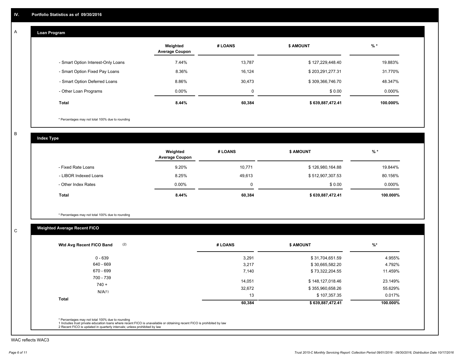#### **Loan Program**  A

|                                    | Weighted<br><b>Average Coupon</b> | # LOANS | <b>\$ AMOUNT</b> | $%$ *    |
|------------------------------------|-----------------------------------|---------|------------------|----------|
| - Smart Option Interest-Only Loans | 7.44%                             | 13,787  | \$127,229,448.40 | 19.883%  |
| - Smart Option Fixed Pay Loans     | 8.36%                             | 16,124  | \$203,291,277.31 | 31.770%  |
| - Smart Option Deferred Loans      | 8.86%                             | 30,473  | \$309,366,746.70 | 48.347%  |
| - Other Loan Programs              | $0.00\%$                          | 0       | \$0.00           | 0.000%   |
| <b>Total</b>                       | $8.44\%$                          | 60,384  | \$639,887,472.41 | 100.000% |

\* Percentages may not total 100% due to rounding

B

C

**Index Type**

|                       | Weighted<br><b>Average Coupon</b> | # LOANS | <b>\$ AMOUNT</b> | $%$ *     |
|-----------------------|-----------------------------------|---------|------------------|-----------|
| - Fixed Rate Loans    | 9.20%                             | 10,771  | \$126,980,164.88 | 19.844%   |
| - LIBOR Indexed Loans | 8.25%                             | 49.613  | \$512,907,307.53 | 80.156%   |
| - Other Index Rates   | $0.00\%$                          | 0       | \$0.00           | $0.000\%$ |
| Total                 | 8.44%                             | 60,384  | \$639,887,472.41 | 100.000%  |

\* Percentages may not total 100% due to rounding

## **Weighted Average Recent FICO**

| Wtd Avg Recent FICO Band |        |                  |          |
|--------------------------|--------|------------------|----------|
| 0 - 639                  | 3,291  | \$31,704,651.59  | 4.955%   |
| 640 - 669                | 3,217  | \$30,665,582.20  | 4.792%   |
| 670 - 699                | 7,140  | \$73,322,204.55  | 11.459%  |
| 700 - 739                | 14,051 | \$148,127,018.46 | 23.149%  |
| $740 +$                  | 32,672 | \$355,960,658.26 | 55.629%  |
| N/A(1)                   | 13     | \$107,357.35     | 0.017%   |
| <b>Total</b>             | 60,384 | \$639,887,472.41 | 100.000% |
|                          |        |                  |          |

WAC reflects WAC3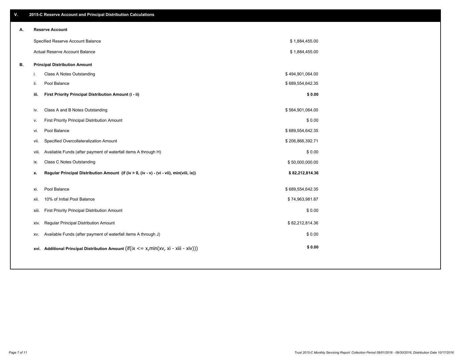| ٧. | 2015-C Reserve Account and Principal Distribution Calculations                                 |                  |  |
|----|------------------------------------------------------------------------------------------------|------------------|--|
| А. | <b>Reserve Account</b>                                                                         |                  |  |
|    | Specified Reserve Account Balance                                                              | \$1,884,455.00   |  |
|    | Actual Reserve Account Balance                                                                 | \$1,884,455.00   |  |
| В. | <b>Principal Distribution Amount</b>                                                           |                  |  |
|    | Class A Notes Outstanding<br>j.                                                                | \$494,901,064.00 |  |
|    | Pool Balance<br>ii.                                                                            | \$689,554,642.35 |  |
|    | First Priority Principal Distribution Amount (i - ii)<br>iii.                                  | \$0.00           |  |
|    |                                                                                                |                  |  |
|    | Class A and B Notes Outstanding<br>iv.                                                         | \$564,901,064.00 |  |
|    | First Priority Principal Distribution Amount<br>v.                                             | \$0.00           |  |
|    | Pool Balance<br>vi.                                                                            | \$689,554,642.35 |  |
|    | Specified Overcollateralization Amount<br>vii.                                                 | \$206,866,392.71 |  |
|    | Available Funds (after payment of waterfall items A through H)<br>viii.                        | \$0.00           |  |
|    | Class C Notes Outstanding<br>ix.                                                               | \$50,000,000.00  |  |
|    | Regular Principal Distribution Amount (if (iv > 0, (iv - v) - (vi - vii), min(viii, ix))<br>х. | \$82,212,814.36  |  |
|    |                                                                                                |                  |  |
|    | Pool Balance<br>xi.                                                                            | \$689,554,642.35 |  |
|    | 10% of Initial Pool Balance<br>xii.                                                            | \$74,963,981.87  |  |
|    | First Priority Principal Distribution Amount<br>xiii.                                          | \$0.00           |  |
|    | Regular Principal Distribution Amount<br>xiv.                                                  | \$82,212,814.36  |  |
|    | Available Funds (after payment of waterfall items A through J)<br>XV.                          | \$0.00           |  |
|    | xvi. Additional Principal Distribution Amount (if(ix $\lt$ = x, min(xv, xi - xiii - xiv)))     | \$0.00           |  |
|    |                                                                                                |                  |  |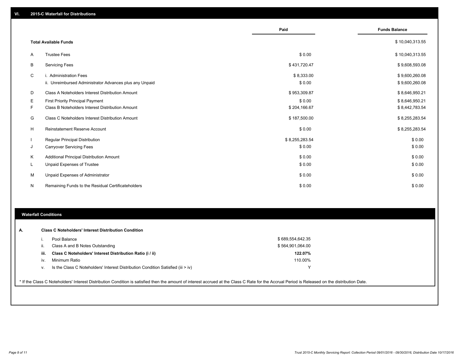|    |                                                         | Paid           | <b>Funds Balance</b> |
|----|---------------------------------------------------------|----------------|----------------------|
|    |                                                         |                |                      |
|    | <b>Total Available Funds</b>                            |                | \$10,040,313.55      |
| A  | <b>Trustee Fees</b>                                     | \$0.00         | \$10,040,313.55      |
| B  | <b>Servicing Fees</b>                                   | \$431,720.47   | \$9,608,593.08       |
| C  | i. Administration Fees                                  | \$8,333.00     | \$9,600,260.08       |
|    | ii. Unreimbursed Administrator Advances plus any Unpaid | \$0.00         | \$9,600,260.08       |
| D  | Class A Noteholders Interest Distribution Amount        | \$953,309.87   | \$8,646,950.21       |
| Е  | <b>First Priority Principal Payment</b>                 | \$0.00         | \$8,646,950.21       |
| F  | Class B Noteholders Interest Distribution Amount        | \$204,166.67   | \$8,442,783.54       |
| G  | Class C Noteholders Interest Distribution Amount        | \$187,500.00   | \$8,255,283.54       |
| H  | <b>Reinstatement Reserve Account</b>                    | \$0.00         | \$8,255,283.54       |
|    | Regular Principal Distribution                          | \$8,255,283.54 | \$0.00               |
| J  | <b>Carryover Servicing Fees</b>                         | \$0.00         | \$0.00               |
| Κ  | Additional Principal Distribution Amount                | \$0.00         | \$0.00               |
| L. | Unpaid Expenses of Trustee                              | \$0.00         | \$0.00               |
| M  | Unpaid Expenses of Administrator                        | \$0.00         | \$0.00               |
| N  | Remaining Funds to the Residual Certificateholders      | \$0.00         | \$0.00               |

#### **Waterfall Conditions**

|      | Pool Balance                                                                     | \$689,554,642.35 |  |
|------|----------------------------------------------------------------------------------|------------------|--|
| Ш.   | Class A and B Notes Outstanding                                                  | \$564,901,064.00 |  |
| iii. | Class C Noteholders' Interest Distribution Ratio (i / ii)                        | 122.07%          |  |
| IV.  | Minimum Ratio                                                                    | 110.00%          |  |
| v.   | Is the Class C Noteholders' Interest Distribution Condition Satisfied (iii > iv) |                  |  |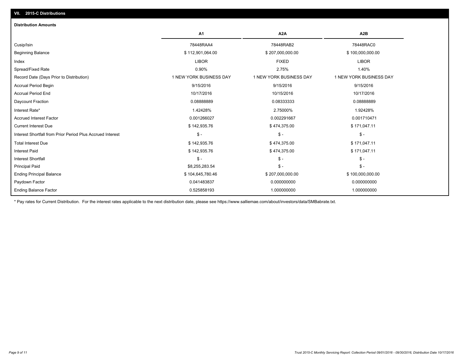| <b>Distribution Amounts</b>                                |                         |                         |                         |
|------------------------------------------------------------|-------------------------|-------------------------|-------------------------|
|                                                            | A <sub>1</sub>          | A <sub>2</sub> A        | A <sub>2</sub> B        |
| Cusip/Isin                                                 | 78448RAA4               | 78448RAB2               | 78448RAC0               |
| <b>Beginning Balance</b>                                   | \$112,901,064.00        | \$207,000,000.00        | \$100,000,000.00        |
| Index                                                      | <b>LIBOR</b>            | <b>FIXED</b>            | <b>LIBOR</b>            |
| Spread/Fixed Rate                                          | 0.90%                   | 2.75%                   | 1.40%                   |
| Record Date (Days Prior to Distribution)                   | 1 NEW YORK BUSINESS DAY | 1 NEW YORK BUSINESS DAY | 1 NEW YORK BUSINESS DAY |
| <b>Accrual Period Begin</b>                                | 9/15/2016               | 9/15/2016               | 9/15/2016               |
| <b>Accrual Period End</b>                                  | 10/17/2016              | 10/15/2016              | 10/17/2016              |
| Daycount Fraction                                          | 0.08888889              | 0.08333333              | 0.08888889              |
| Interest Rate*                                             | 1.42428%                | 2.75000%                | 1.92428%                |
| <b>Accrued Interest Factor</b>                             | 0.001266027             | 0.002291667             | 0.001710471             |
| <b>Current Interest Due</b>                                | \$142,935.76            | \$474,375.00            | \$171,047.11            |
| Interest Shortfall from Prior Period Plus Accrued Interest | $\mathsf{\$}$ -         | $\mathsf{\$}$ -         | $\mathcal{S}$ -         |
| <b>Total Interest Due</b>                                  | \$142,935.76            | \$474,375.00            | \$171,047.11            |
| <b>Interest Paid</b>                                       | \$142,935.76            | \$474,375.00            | \$171,047.11            |
| <b>Interest Shortfall</b>                                  | $\mathsf{\$}$ -         | $S -$                   | $$ -$                   |
| <b>Principal Paid</b>                                      | \$8,255,283.54          | $\frac{2}{3}$ -         | $\mathsf{\$}$ -         |
| <b>Ending Principal Balance</b>                            | \$104,645,780.46        | \$207,000,000.00        | \$100,000,000.00        |
| Paydown Factor                                             | 0.041483837             | 0.000000000             | 0.000000000             |
| <b>Ending Balance Factor</b>                               | 0.525858193             | 1.000000000             | 1.000000000             |

\* Pay rates for Current Distribution. For the interest rates applicable to the next distribution date, please see https://www.salliemae.com/about/investors/data/SMBabrate.txt.

**VII. 2015-C Distributions**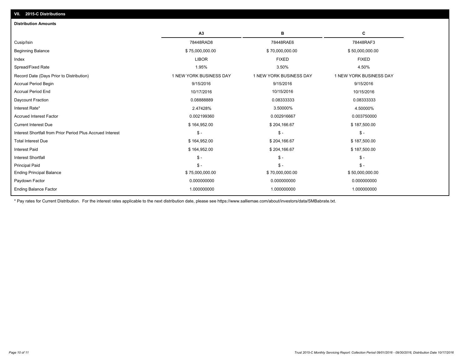| A3<br>в<br>с<br>78448RAD8<br>78448RAE6<br>78448RAF3<br>\$75,000,000.00<br>\$70,000,000.00<br>\$50,000,000.00<br><b>FIXED</b><br><b>LIBOR</b><br><b>FIXED</b><br>3.50%<br>1.95%<br>4.50%<br>1 NEW YORK BUSINESS DAY<br>1 NEW YORK BUSINESS DAY<br>1 NEW YORK BUSINESS DAY<br>9/15/2016<br>9/15/2016<br>9/15/2016<br>10/15/2016<br>10/17/2016<br>10/15/2016<br>0.08888889<br>0.08333333<br>0.08333333<br>2.47428%<br>3.50000%<br>4.50000%<br>0.002199360<br>0.002916667<br>0.003750000<br>\$164,952.00<br>\$187,500.00<br>\$204,166.67<br>$\mathsf{\$}$ -<br>$\mathsf{\$}$ -<br>$\frac{2}{3}$ -<br>\$164,952.00<br>\$204,166.67<br>\$187,500.00<br>\$164,952.00<br>\$204,166.67<br>\$187,500.00<br>$\mathsf{\$}$ -<br>$\mathsf{\$}$ -<br>$S -$<br>$\mathsf{\$}$ -<br>$S -$<br>$\mathsf{\$}$ -<br>\$75,000,000.00<br>\$70,000,000.00<br>\$50,000,000.00<br>0.000000000<br>0.000000000<br>0.000000000<br>1.000000000<br>1.000000000<br>1.000000000 | <b>Distribution Amounts</b>                                |  |  |
|------------------------------------------------------------------------------------------------------------------------------------------------------------------------------------------------------------------------------------------------------------------------------------------------------------------------------------------------------------------------------------------------------------------------------------------------------------------------------------------------------------------------------------------------------------------------------------------------------------------------------------------------------------------------------------------------------------------------------------------------------------------------------------------------------------------------------------------------------------------------------------------------------------------------------------------------|------------------------------------------------------------|--|--|
|                                                                                                                                                                                                                                                                                                                                                                                                                                                                                                                                                                                                                                                                                                                                                                                                                                                                                                                                                |                                                            |  |  |
|                                                                                                                                                                                                                                                                                                                                                                                                                                                                                                                                                                                                                                                                                                                                                                                                                                                                                                                                                | Cusip/Isin                                                 |  |  |
|                                                                                                                                                                                                                                                                                                                                                                                                                                                                                                                                                                                                                                                                                                                                                                                                                                                                                                                                                | <b>Beginning Balance</b>                                   |  |  |
|                                                                                                                                                                                                                                                                                                                                                                                                                                                                                                                                                                                                                                                                                                                                                                                                                                                                                                                                                | Index                                                      |  |  |
|                                                                                                                                                                                                                                                                                                                                                                                                                                                                                                                                                                                                                                                                                                                                                                                                                                                                                                                                                | Spread/Fixed Rate                                          |  |  |
|                                                                                                                                                                                                                                                                                                                                                                                                                                                                                                                                                                                                                                                                                                                                                                                                                                                                                                                                                | Record Date (Days Prior to Distribution)                   |  |  |
|                                                                                                                                                                                                                                                                                                                                                                                                                                                                                                                                                                                                                                                                                                                                                                                                                                                                                                                                                | <b>Accrual Period Begin</b>                                |  |  |
|                                                                                                                                                                                                                                                                                                                                                                                                                                                                                                                                                                                                                                                                                                                                                                                                                                                                                                                                                | <b>Accrual Period End</b>                                  |  |  |
|                                                                                                                                                                                                                                                                                                                                                                                                                                                                                                                                                                                                                                                                                                                                                                                                                                                                                                                                                | Daycount Fraction                                          |  |  |
|                                                                                                                                                                                                                                                                                                                                                                                                                                                                                                                                                                                                                                                                                                                                                                                                                                                                                                                                                | Interest Rate*                                             |  |  |
|                                                                                                                                                                                                                                                                                                                                                                                                                                                                                                                                                                                                                                                                                                                                                                                                                                                                                                                                                | <b>Accrued Interest Factor</b>                             |  |  |
|                                                                                                                                                                                                                                                                                                                                                                                                                                                                                                                                                                                                                                                                                                                                                                                                                                                                                                                                                | <b>Current Interest Due</b>                                |  |  |
|                                                                                                                                                                                                                                                                                                                                                                                                                                                                                                                                                                                                                                                                                                                                                                                                                                                                                                                                                | Interest Shortfall from Prior Period Plus Accrued Interest |  |  |
|                                                                                                                                                                                                                                                                                                                                                                                                                                                                                                                                                                                                                                                                                                                                                                                                                                                                                                                                                | <b>Total Interest Due</b>                                  |  |  |
|                                                                                                                                                                                                                                                                                                                                                                                                                                                                                                                                                                                                                                                                                                                                                                                                                                                                                                                                                | <b>Interest Paid</b>                                       |  |  |
|                                                                                                                                                                                                                                                                                                                                                                                                                                                                                                                                                                                                                                                                                                                                                                                                                                                                                                                                                | <b>Interest Shortfall</b>                                  |  |  |
|                                                                                                                                                                                                                                                                                                                                                                                                                                                                                                                                                                                                                                                                                                                                                                                                                                                                                                                                                | <b>Principal Paid</b>                                      |  |  |
|                                                                                                                                                                                                                                                                                                                                                                                                                                                                                                                                                                                                                                                                                                                                                                                                                                                                                                                                                | <b>Ending Principal Balance</b>                            |  |  |
|                                                                                                                                                                                                                                                                                                                                                                                                                                                                                                                                                                                                                                                                                                                                                                                                                                                                                                                                                | Paydown Factor                                             |  |  |
|                                                                                                                                                                                                                                                                                                                                                                                                                                                                                                                                                                                                                                                                                                                                                                                                                                                                                                                                                | <b>Ending Balance Factor</b>                               |  |  |

\* Pay rates for Current Distribution. For the interest rates applicable to the next distribution date, please see https://www.salliemae.com/about/investors/data/SMBabrate.txt.

**VII. 2015-C Distributions**